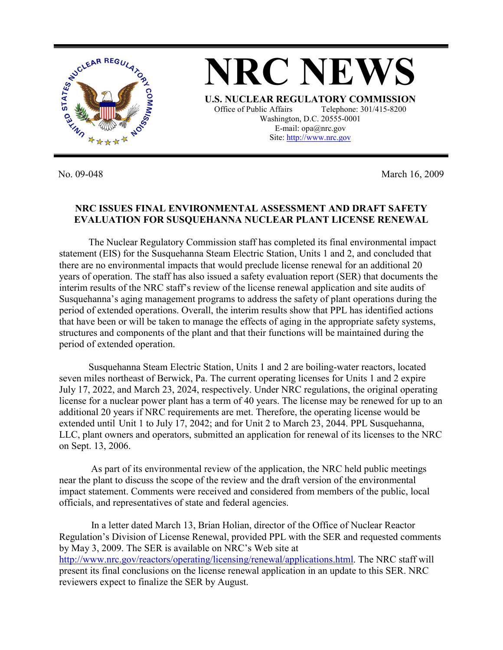

No. 09-048 March 16, 2009

## **NRC ISSUES FINAL ENVIRONMENTAL ASSESSMENT AND DRAFT SAFETY EVALUATION FOR SUSQUEHANNA NUCLEAR PLANT LICENSE RENEWAL**

 The Nuclear Regulatory Commission staff has completed its final environmental impact statement (EIS) for the Susquehanna Steam Electric Station, Units 1 and 2, and concluded that there are no environmental impacts that would preclude license renewal for an additional 20 years of operation. The staff has also issued a safety evaluation report (SER) that documents the interim results of the NRC staff's review of the license renewal application and site audits of Susquehanna's aging management programs to address the safety of plant operations during the period of extended operations. Overall, the interim results show that PPL has identified actions that have been or will be taken to manage the effects of aging in the appropriate safety systems, structures and components of the plant and that their functions will be maintained during the period of extended operation.

 Susquehanna Steam Electric Station, Units 1 and 2 are boiling-water reactors, located seven miles northeast of Berwick, Pa. The current operating licenses for Units 1 and 2 expire July 17, 2022, and March 23, 2024, respectively. Under NRC regulations, the original operating license for a nuclear power plant has a term of 40 years. The license may be renewed for up to an additional 20 years if NRC requirements are met. Therefore, the operating license would be extended until Unit 1 to July 17, 2042; and for Unit 2 to March 23, 2044. PPL Susquehanna, LLC, plant owners and operators, submitted an application for renewal of its licenses to the NRC on Sept. 13, 2006.

 As part of its environmental review of the application, the NRC held public meetings near the plant to discuss the scope of the review and the draft version of the environmental impact statement. Comments were received and considered from members of the public, local officials, and representatives of state and federal agencies.

 In a letter dated March 13, Brian Holian, director of the Office of Nuclear Reactor Regulation's Division of License Renewal, provided PPL with the SER and requested comments by May 3, 2009. The SER is available on NRC's Web site at http://www.nrc.gov/reactors/operating/licensing/renewal/applications.html. The NRC staff will present its final conclusions on the license renewal application in an update to this SER. NRC reviewers expect to finalize the SER by August.